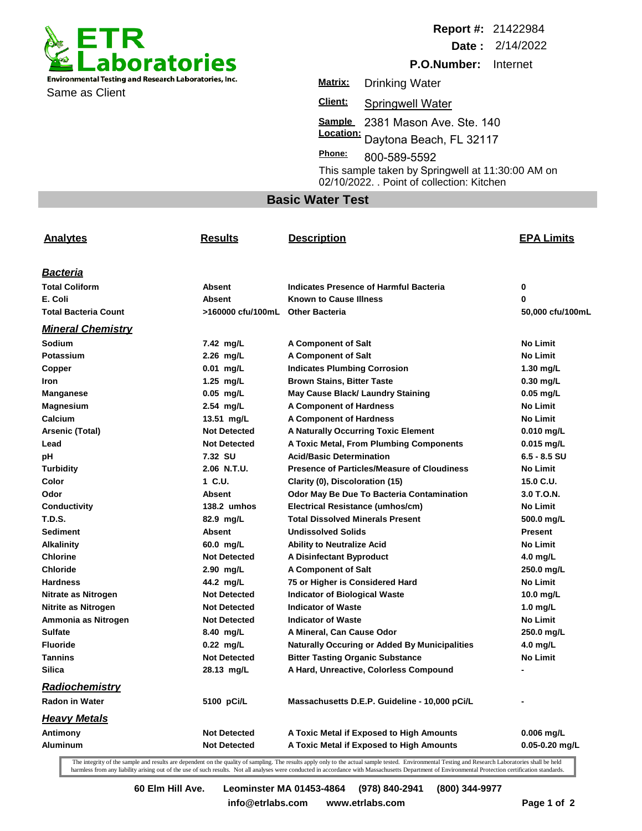

Same as Client

**Report #:** 21422984

**Date :** 2/14/2022

**P.O.Number:** Internet

**Sample**  2381 Mason Ave. Ste. 140 **Location: Client: Matrix:** Drinking Water Springwell Water Daytona Beach, FL 32117 800-589-5592 **Phone:** This sample taken by Springwell at 11:30:00 AM on 02/10/2022. . Point of collection: Kitchen

## **Basic Water Test**

| <b>Analytes</b>             | <b>Results</b>                   | <b>Description</b>                                   | <b>EPA Limits</b>  |
|-----------------------------|----------------------------------|------------------------------------------------------|--------------------|
| <u>Bacteria</u>             |                                  |                                                      |                    |
| <b>Total Coliform</b>       | Absent                           | Indicates Presence of Harmful Bacteria               | 0                  |
| E. Coli                     | <b>Absent</b>                    | <b>Known to Cause Illness</b>                        | 0                  |
| <b>Total Bacteria Count</b> | >160000 cfu/100mL Other Bacteria |                                                      | 50,000 cfu/100mL   |
| <b>Mineral Chemistry</b>    |                                  |                                                      |                    |
| Sodium                      | 7.42 mg/L                        | <b>A Component of Salt</b>                           | <b>No Limit</b>    |
| Potassium                   | 2.26 mg/L                        | <b>A Component of Salt</b>                           | <b>No Limit</b>    |
| Copper                      | $0.01$ mg/L                      | <b>Indicates Plumbing Corrosion</b>                  | $1.30$ mg/L        |
| Iron                        | 1.25 $mg/L$                      | <b>Brown Stains, Bitter Taste</b>                    | $0.30$ mg/L        |
| Manganese                   | $0.05$ mg/L                      | May Cause Black/ Laundry Staining                    | $0.05$ mg/L        |
| <b>Magnesium</b>            | 2.54 mg/L                        | <b>A Component of Hardness</b>                       | <b>No Limit</b>    |
| Calcium                     | 13.51 mg/L                       | <b>A Component of Hardness</b>                       | <b>No Limit</b>    |
| Arsenic (Total)             | <b>Not Detected</b>              | <b>A Naturally Occurring Toxic Element</b>           | $0.010$ mg/L       |
| Lead                        | <b>Not Detected</b>              | A Toxic Metal, From Plumbing Components              | $0.015$ mg/L       |
| рH                          | 7.32 SU                          | Acid/Basic Determination                             | 6.5 - 8.5 SU       |
| <b>Turbidity</b>            | 2.06 N.T.U.                      | <b>Presence of Particles/Measure of Cloudiness</b>   | <b>No Limit</b>    |
| Color                       | 1 C.U.                           | Clarity (0), Discoloration (15)                      | 15.0 C.U.          |
| Odor                        | Absent                           | Odor May Be Due To Bacteria Contamination            | 3.0 T.O.N.         |
| Conductivity                | 138.2 umhos                      | Electrical Resistance (umhos/cm)                     | <b>No Limit</b>    |
| <b>T.D.S.</b>               | 82.9 mg/L                        | <b>Total Dissolved Minerals Present</b>              | 500.0 mg/L         |
| <b>Sediment</b>             | <b>Absent</b>                    | <b>Undissolved Solids</b>                            | <b>Present</b>     |
| <b>Alkalinity</b>           | 60.0 mg/L                        | <b>Ability to Neutralize Acid</b>                    | <b>No Limit</b>    |
| <b>Chlorine</b>             | <b>Not Detected</b>              | A Disinfectant Byproduct                             | 4.0 mg/L           |
| <b>Chloride</b>             | 2.90 mg/L                        | <b>A Component of Salt</b>                           | 250.0 mg/L         |
| <b>Hardness</b>             | 44.2 mg/L                        | 75 or Higher is Considered Hard                      | <b>No Limit</b>    |
| Nitrate as Nitrogen         | <b>Not Detected</b>              | <b>Indicator of Biological Waste</b>                 | 10.0 $mg/L$        |
| Nitrite as Nitrogen         | <b>Not Detected</b>              | <b>Indicator of Waste</b>                            | 1.0 $mg/L$         |
| Ammonia as Nitrogen         | <b>Not Detected</b>              | <b>Indicator of Waste</b>                            | <b>No Limit</b>    |
| <b>Sulfate</b>              | 8.40 mg/L                        | A Mineral, Can Cause Odor                            | 250.0 mg/L         |
| <b>Fluoride</b>             | $0.22$ mg/L                      | <b>Naturally Occuring or Added By Municipalities</b> | 4.0 mg/L           |
| <b>Tannins</b>              | <b>Not Detected</b>              | <b>Bitter Tasting Organic Substance</b>              | <b>No Limit</b>    |
| <b>Silica</b>               | 28.13 mg/L                       | A Hard, Unreactive, Colorless Compound               |                    |
| Radiochemistry              |                                  |                                                      |                    |
| Radon in Water              | 5100 pCi/L                       | Massachusetts D.E.P. Guideline - 10,000 pCi/L        |                    |
| <b>Heavy Metals</b>         |                                  |                                                      |                    |
| Antimony                    | <b>Not Detected</b>              | A Toxic Metal if Exposed to High Amounts             | $0.006$ mg/L       |
| <b>Aluminum</b>             | <b>Not Detected</b>              | A Toxic Metal if Exposed to High Amounts             | $0.05 - 0.20$ mg/L |

The integrity of the sample and results are dependent on the quality of sampling. The results apply only to the actual sample tested. Environmental Testing and Research Laboratories shall be held harmless from any liability arising out of the use of such results. Not all analyses were conducted in accordance with Massachusetts Department of Environmental Protection certification standards.

**60 Elm Hill Ave. Leominster MA 01453-4864 (978) 840-2941 (800) 344-9977**